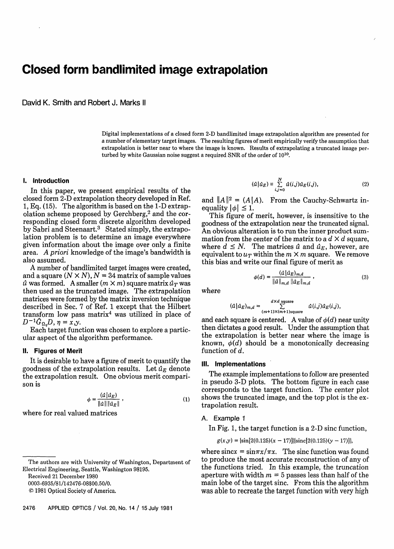# **Closed form bandlimited image extrapolation**

David K. Smith and Robert J. Marks II

Digital implementations of a closed form 2-D bandlimited image extrapolation algorithm are presented for a number of elementary target images. The resulting figures of merit empirically verify the assumption that extrapolation is better near to where the image is known. Results of extrapolating a truncated image perturbed by white Gaussian noise suggest a required SNR of the order of 10'0.

## **I. Introduction**

In this paper, we present empirical results of the closed form 2-D extrapolation theory developed in Ref. 1, Eq. (15). The algorithm is based on the I-D extrapolation scheme proposed by Gerchberg, $2$  and the corresponding closed form discrete algorithm developed by Sabri and Steenaart.3 Stated simply, the extrapolation problem is to determine an image everywhere given information about the image over only a finite area. *A* **priori** knowledge of the image's bandwidth is also assumed.

**A** number of bandlimited target images were created, and a square  $(N \times N)$ ,  $N = 34$  matrix of sample values  $\hat{u}$  was formed. A smaller  $(m \times m)$  square matrix  $\hat{u}_T$  was then used as the truncated image. The extrapolation matrices were formed by the matrix inversion technique described in Sec. 7 of Ref. 1 except that the Hilbert transform low pass matrix<sup>4</sup> was utilized in place of  $D^{-1}\hat{G}_{\Omega}D, \eta = x,y.$ 

Each target function was chosen to explore a particular aspect of the algorithm performance.

### **11. Figures of Merit**

It is desirable to have a figure of merit to quantify the goodness of the extrapolation results. Let  $\hat{u}_E$  denote the extrapolation result. One obvious merit comparison is

$$
\phi = \frac{(a \mid a_E)}{\|a\| \|a_E\|} \,, \tag{1}
$$

where for real valued matrices

Received 21 December 1980

0003-6935/81/142476-08\$00.50/0.

@ 1981 Optical Society of America.

$$
(\hat{u}|\hat{u}_E) = \sum_{i,j=0}^{N} \hat{u}(i,j)\hat{u}_E(i,j),
$$
\n(2)

and  $||A||^2 = (A||A)$ . From the Cauchy-Schwartz inequality  $|\phi| \leq 1$ .

This figure of merit, however, is insensitive to the goodness of the extrapolation near the truncated signal. An obvious alteration is to run the inner product summation from the center of the matrix to a  $d \times d$  square, where  $d \leq N$ . The matrices  $\hat{u}$  and  $\hat{u}_E$ , however, are equivalent to  $u_T$  within the  $m \times m$  square. We remove this bias and write our final figure of merit as

$$
\phi(d) = \frac{(\hat{u}|\hat{u}_E)_{m,d}}{\|\hat{u}\|_{m,d} \|\hat{u}_E\|_{m,d}},
$$
\n(3)

where

$$
(\hat{u}|\hat{u}_E)_{m,d} = \sum_{(m+1)\times(m+1)\text{square}}^{d\times d \text{ square}} \hat{u}(i,j)\hat{u}_E(i,j),
$$

and each square is centered. A value of  $\phi(d)$  near unity then dictates a good result. Under the assumption that the extrapolation is better near where the image is known,  $\phi(d)$  should be a monotonically decreasing function of d.

#### **Ill. Implementations**

The example implementations to follow are presented in pseudo 3-D plots. The bottom figure in each case corresponds to the target function. The center plot shows the truncated image, and the top plot is the extrapolation result.

#### **A. Example** 1

In Fig. 1, the target function is a 2-D sinc function,

 $g(x,y) = \frac{\sin[2(0.125)(x-17)]}{\sin[2(0.125)(y-17)]}$ 

where sincx =  $\sin \pi x / \pi x$ . The sinc function was found to produce the most accurate reconstruction of any of the functions tried. In this example, the truncation aperture with width  $m = 5$  passes less than half of the main lobe of the target sinc. From this the algorithm was able to recreate the target function with very high

The authors are with University of Washington, Department of Electrical Engineering, Seattle, Washington 98195.